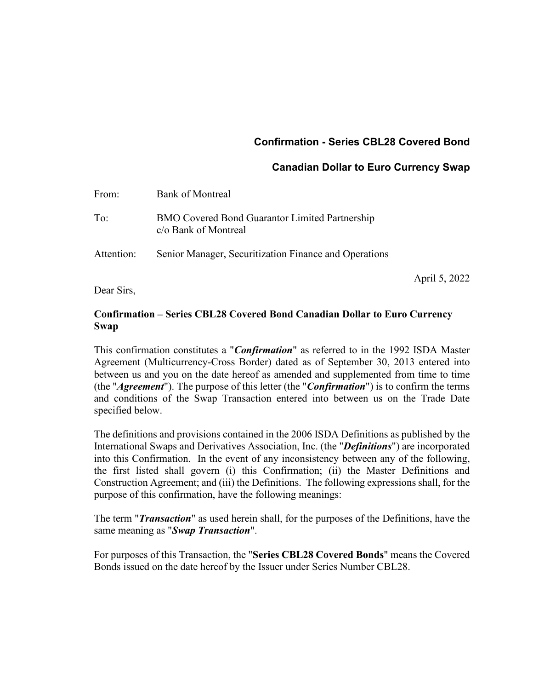# **Confirmation - Series CBL28 Covered Bond**

## **Canadian Dollar to Euro Currency Swap**

April 5, 2022

| From:      | <b>Bank of Montreal</b>                                                       |
|------------|-------------------------------------------------------------------------------|
| To:        | <b>BMO Covered Bond Guarantor Limited Partnership</b><br>c/o Bank of Montreal |
| Attention: | Senior Manager, Securitization Finance and Operations                         |

Dear Sirs,

## **Confirmation – Series CBL28 Covered Bond Canadian Dollar to Euro Currency Swap**

This confirmation constitutes a "*Confirmation*" as referred to in the 1992 ISDA Master Agreement (Multicurrency-Cross Border) dated as of September 30, 2013 entered into between us and you on the date hereof as amended and supplemented from time to time (the "*Agreement*"). The purpose of this letter (the "*Confirmation*") is to confirm the terms and conditions of the Swap Transaction entered into between us on the Trade Date specified below.

The definitions and provisions contained in the 2006 ISDA Definitions as published by the International Swaps and Derivatives Association, Inc. (the "*Definitions*") are incorporated into this Confirmation. In the event of any inconsistency between any of the following, the first listed shall govern (i) this Confirmation; (ii) the Master Definitions and Construction Agreement; and (iii) the Definitions. The following expressions shall, for the purpose of this confirmation, have the following meanings:

The term "*Transaction*" as used herein shall, for the purposes of the Definitions, have the same meaning as "*Swap Transaction*".

For purposes of this Transaction, the "**Series CBL28 Covered Bonds**" means the Covered Bonds issued on the date hereof by the Issuer under Series Number CBL28.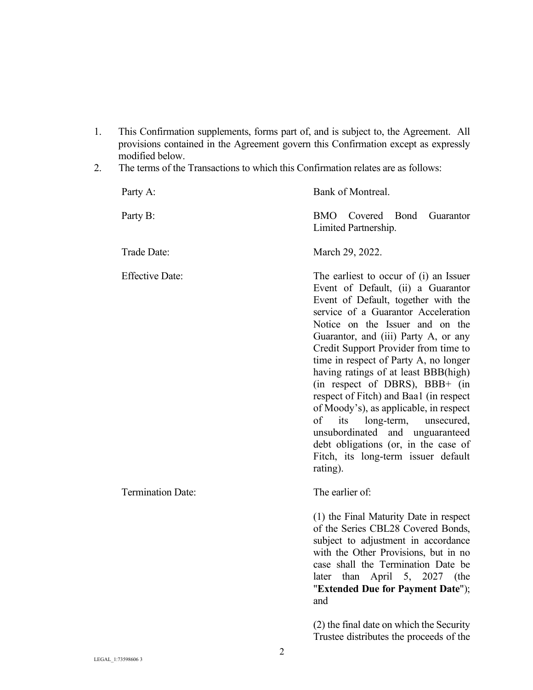- 1. This Confirmation supplements, forms part of, and is subject to, the Agreement. All provisions contained in the Agreement govern this Confirmation except as expressly modified below.
- 2. The terms of the Transactions to which this Confirmation relates are as follows:

| Party A:                 | Bank of Montreal.                                                                                                                                                                                                                                                                                                                                                                                                                                                                                                                                                                                                                                           |
|--------------------------|-------------------------------------------------------------------------------------------------------------------------------------------------------------------------------------------------------------------------------------------------------------------------------------------------------------------------------------------------------------------------------------------------------------------------------------------------------------------------------------------------------------------------------------------------------------------------------------------------------------------------------------------------------------|
| Party B:                 | BMO Covered<br>Bond<br>Guarantor<br>Limited Partnership.                                                                                                                                                                                                                                                                                                                                                                                                                                                                                                                                                                                                    |
| Trade Date:              | March 29, 2022.                                                                                                                                                                                                                                                                                                                                                                                                                                                                                                                                                                                                                                             |
| <b>Effective Date:</b>   | The earliest to occur of (i) an Issuer<br>Event of Default, (ii) a Guarantor<br>Event of Default, together with the<br>service of a Guarantor Acceleration<br>Notice on the Issuer and on the<br>Guarantor, and (iii) Party A, or any<br>Credit Support Provider from time to<br>time in respect of Party A, no longer<br>having ratings of at least BBB(high)<br>(in respect of DBRS), BBB+ (in<br>respect of Fitch) and Baa1 (in respect<br>of Moody's), as applicable, in respect<br>of<br>its<br>long-term,<br>unsecured,<br>unsubordinated and unguaranteed<br>debt obligations (or, in the case of<br>Fitch, its long-term issuer default<br>rating). |
| <b>Termination Date:</b> | The earlier of:                                                                                                                                                                                                                                                                                                                                                                                                                                                                                                                                                                                                                                             |
|                          | (1) the Final Maturity Date in respect<br>of the Series CBL28 Covered Bonds,<br>subject to adjustment in accordance<br>with the Other Provisions, but in no<br>case shall the Termination Date be<br>5, 2027<br>later than April<br>(the<br>"Extended Due for Payment Date");<br>and                                                                                                                                                                                                                                                                                                                                                                        |
|                          | (2) the final date on which the Security<br>Trustee distributes the proceeds of the                                                                                                                                                                                                                                                                                                                                                                                                                                                                                                                                                                         |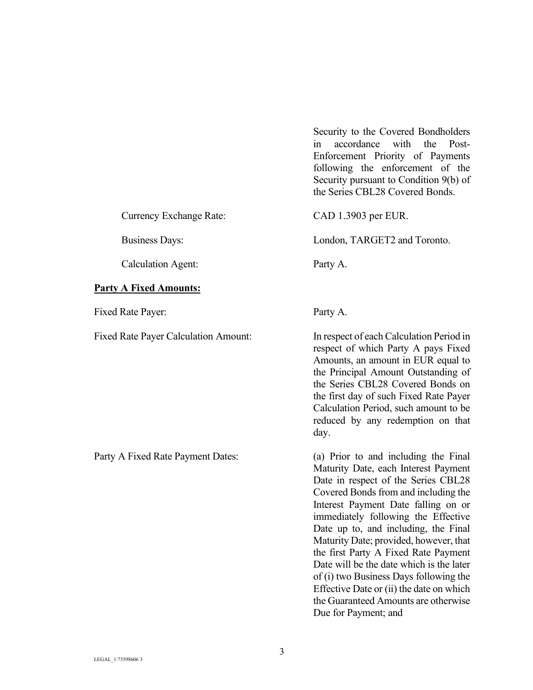Security to the Covered Bondholders in accordance with the Post-Enforcement Priority of Payments following the enforcement of the Security pursuant to Condition 9(b) of the Series CBL28 Covered Bonds.

Currency Exchange Rate: CAD 1.3903 per EUR.

Business Days: London, TARGET2 and Toronto.

Calculation Agent: Party A.

### **Party A Fixed Amounts:**

Fixed Rate Payer: Party A.

Fixed Rate Payer Calculation Amount: In respect of each Calculation Period in

respect of which Party A pays Fixed Amounts, an amount in EUR equal to the Principal Amount Outstanding of the Series CBL28 Covered Bonds on the first day of such Fixed Rate Payer Calculation Period, such amount to be reduced by any redemption on that

Party A Fixed Rate Payment Dates: (a) Prior to and including the Final Maturity Date, each Interest Payment Date in respect of the Series CBL28 Covered Bonds from and including the Interest Payment Date falling on or immediately following the Effective Date up to, and including, the Final Maturity Date; provided, however, that the first Party A Fixed Rate Payment Date will be the date which is the later of (i) two Business Days following the Effective Date or (ii) the date on which the Guaranteed Amounts are otherwise Due for Payment; and

day.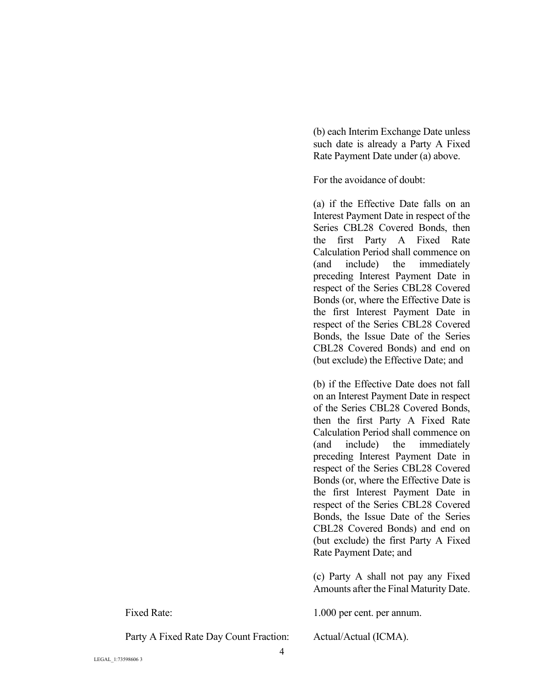(b) each Interim Exchange Date unless such date is already a Party A Fixed Rate Payment Date under (a) above.

For the avoidance of doubt:

(a) if the Effective Date falls on an Interest Payment Date in respect of the Series CBL28 Covered Bonds, then the first Party A Fixed Rate Calculation Period shall commence on (and include) the immediately preceding Interest Payment Date in respect of the Series CBL28 Covered Bonds (or, where the Effective Date is the first Interest Payment Date in respect of the Series CBL28 Covered Bonds, the Issue Date of the Series CBL28 Covered Bonds) and end on (but exclude) the Effective Date; and

(b) if the Effective Date does not fall on an Interest Payment Date in respect of the Series CBL28 Covered Bonds, then the first Party A Fixed Rate Calculation Period shall commence on (and include) the immediately preceding Interest Payment Date in respect of the Series CBL28 Covered Bonds (or, where the Effective Date is the first Interest Payment Date in respect of the Series CBL28 Covered Bonds, the Issue Date of the Series CBL28 Covered Bonds) and end on (but exclude) the first Party A Fixed Rate Payment Date; and

(c) Party A shall not pay any Fixed Amounts after the Final Maturity Date.

Fixed Rate: 1.000 per cent. per annum.

Party A Fixed Rate Day Count Fraction: Actual/Actual (ICMA).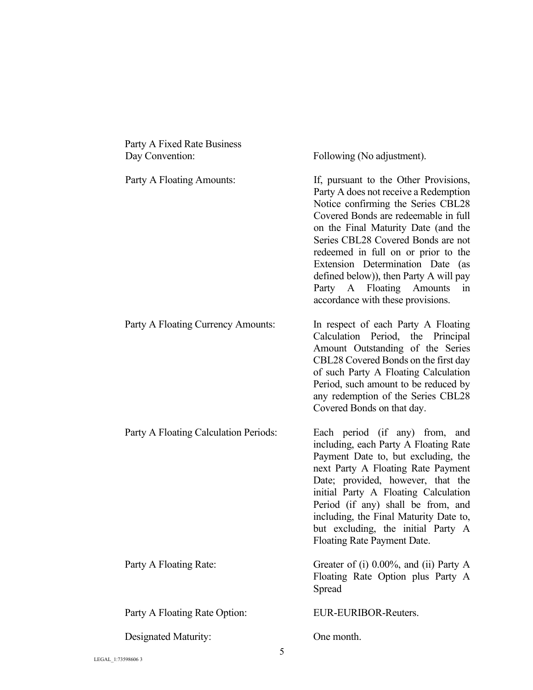| Party A Fixed Rate Business<br>Day Convention: | Following (No adjustment).                                                                                                                                                                                                                                                                                                                                                                                                            |
|------------------------------------------------|---------------------------------------------------------------------------------------------------------------------------------------------------------------------------------------------------------------------------------------------------------------------------------------------------------------------------------------------------------------------------------------------------------------------------------------|
| Party A Floating Amounts:                      | If, pursuant to the Other Provisions,<br>Party A does not receive a Redemption<br>Notice confirming the Series CBL28<br>Covered Bonds are redeemable in full<br>on the Final Maturity Date (and the<br>Series CBL28 Covered Bonds are not<br>redeemed in full on or prior to the<br>Extension Determination Date (as<br>defined below)), then Party A will pay<br>Party A Floating Amounts<br>in<br>accordance with these provisions. |
| Party A Floating Currency Amounts:             | In respect of each Party A Floating<br>Calculation Period, the Principal<br>Amount Outstanding of the Series<br>CBL28 Covered Bonds on the first day<br>of such Party A Floating Calculation<br>Period, such amount to be reduced by<br>any redemption of the Series CBL28<br>Covered Bonds on that day.                                                                                                                              |
| Party A Floating Calculation Periods:          | Each period (if any) from, and<br>including, each Party A Floating Rate<br>Payment Date to, but excluding, the<br>next Party A Floating Rate Payment<br>Date; provided, however, that the<br>initial Party A Floating Calculation<br>Period (if any) shall be from, and<br>including, the Final Maturity Date to,<br>but excluding, the initial Party A<br>Floating Rate Payment Date.                                                |
| Party A Floating Rate:                         | Greater of (i) $0.00\%$ , and (ii) Party A<br>Floating Rate Option plus Party A<br>Spread                                                                                                                                                                                                                                                                                                                                             |
| Party A Floating Rate Option:                  | EUR-EURIBOR-Reuters.                                                                                                                                                                                                                                                                                                                                                                                                                  |
| Designated Maturity:                           | One month.                                                                                                                                                                                                                                                                                                                                                                                                                            |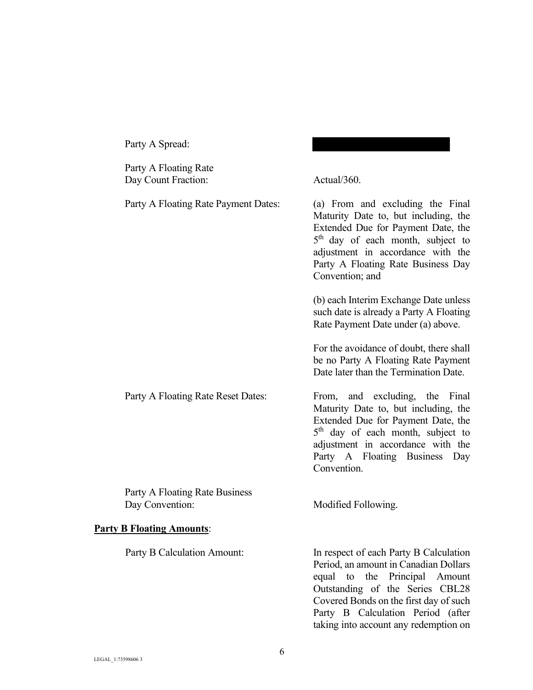| Party A Floating Rate<br>Day Count Fraction:      | Actual/360.                                                                                                                                                                                                                                                                    |
|---------------------------------------------------|--------------------------------------------------------------------------------------------------------------------------------------------------------------------------------------------------------------------------------------------------------------------------------|
| Party A Floating Rate Payment Dates:              | (a) From and excluding the Final<br>Maturity Date to, but including, the<br>Extended Due for Payment Date, the<br>5 <sup>th</sup> day of each month, subject to<br>adjustment in accordance with the<br>Party A Floating Rate Business Day<br>Convention; and                  |
|                                                   | (b) each Interim Exchange Date unless<br>such date is already a Party A Floating<br>Rate Payment Date under (a) above.                                                                                                                                                         |
|                                                   | For the avoidance of doubt, there shall<br>be no Party A Floating Rate Payment<br>Date later than the Termination Date.                                                                                                                                                        |
| Party A Floating Rate Reset Dates:                | From, and excluding, the Final<br>Maturity Date to, but including, the<br>Extended Due for Payment Date, the<br>5 <sup>th</sup> day of each month, subject to<br>adjustment in accordance with the<br>Party A Floating Business Day<br>Convention.                             |
| Party A Floating Rate Business<br>Day Convention: | Modified Following.                                                                                                                                                                                                                                                            |
| <b>Party B Floating Amounts:</b>                  |                                                                                                                                                                                                                                                                                |
| Party B Calculation Amount:                       | In respect of each Party B Calculation<br>Period, an amount in Canadian Dollars<br>to the Principal Amount<br>equal<br>Outstanding of the Series CBL28<br>Covered Bonds on the first day of such<br>Party B Calculation Period (after<br>taking into account any redemption on |

Party A Spread: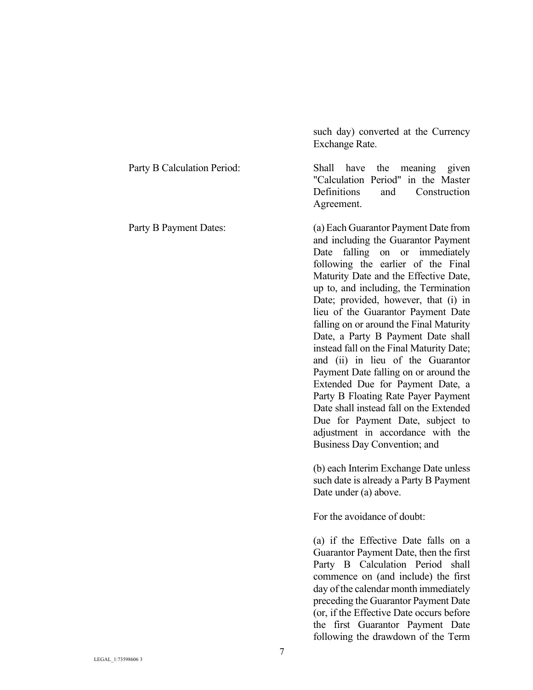|                             | Exchange Rate.                                                                                                                                                                                                                                                                                                                                                                                                                                                                                                                                                                                                                                                                                                                                                   |
|-----------------------------|------------------------------------------------------------------------------------------------------------------------------------------------------------------------------------------------------------------------------------------------------------------------------------------------------------------------------------------------------------------------------------------------------------------------------------------------------------------------------------------------------------------------------------------------------------------------------------------------------------------------------------------------------------------------------------------------------------------------------------------------------------------|
| Party B Calculation Period: | Shall<br>have<br>the meaning given<br>"Calculation Period" in the Master<br>Definitions<br>Construction<br>and<br>Agreement.                                                                                                                                                                                                                                                                                                                                                                                                                                                                                                                                                                                                                                     |
| Party B Payment Dates:      | (a) Each Guarantor Payment Date from<br>and including the Guarantor Payment<br>falling on or immediately<br>Date<br>following the earlier of the Final<br>Maturity Date and the Effective Date,<br>up to, and including, the Termination<br>Date; provided, however, that (i) in<br>lieu of the Guarantor Payment Date<br>falling on or around the Final Maturity<br>Date, a Party B Payment Date shall<br>instead fall on the Final Maturity Date;<br>and (ii) in lieu of the Guarantor<br>Payment Date falling on or around the<br>Extended Due for Payment Date, a<br>Party B Floating Rate Payer Payment<br>Date shall instead fall on the Extended<br>Due for Payment Date, subject to<br>adjustment in accordance with the<br>Business Day Convention; and |
|                             | (b) each Interim Exchange Date unless<br>such date is already a Party B Payment<br>Date under (a) above.<br>For the avoidance of doubt:<br>(a) if the Effective Date falls on a<br>Guarantor Payment Date, then the first<br>Party B Calculation Period shall<br>commence on (and include) the first                                                                                                                                                                                                                                                                                                                                                                                                                                                             |
|                             | day of the calendar month immediately<br>preceding the Guarantor Payment Date<br>(or, if the Effective Date occurs before                                                                                                                                                                                                                                                                                                                                                                                                                                                                                                                                                                                                                                        |

such day) converted at the Currency

the first Guarantor Payment Date following the drawdown of the Term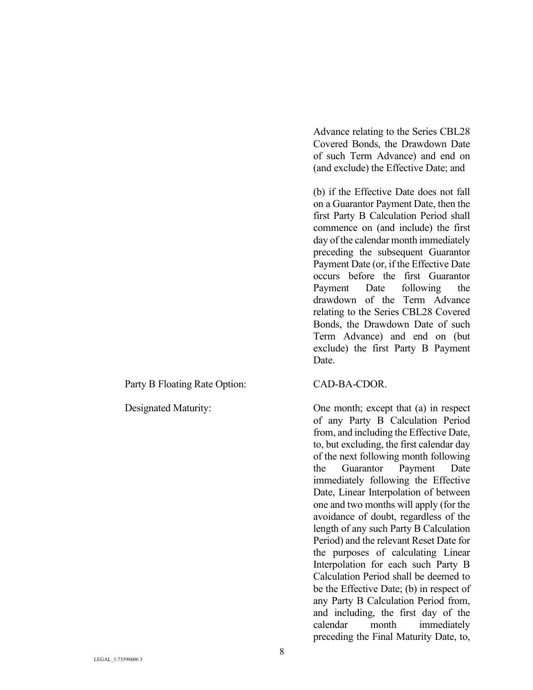Party B Floating Rate Option: CAD-BA-CDOR.

Advance relating to the Series CBL28 Covered Bonds, the Drawdown Date of such Term Advance) and end on (and exclude) the Effective Date; and

(b) if the Effective Date does not fall on a Guarantor Payment Date, then the first Party B Calculation Period shall commence on (and include) the first day of the calendar month immediately preceding the subsequent Guarantor Payment Date (or, if the Effective Date occurs before the first Guarantor Payment Date following the drawdown of the Term Advance relating to the Series CBL28 Covered Bonds, the Drawdown Date of such Term Advance) and end on (but exclude) the first Party B Payment Date.

Designated Maturity: One month; except that (a) in respect of any Party B Calculation Period from, and including the Effective Date, to, but excluding, the first calendar day of the next following month following the Guarantor Payment Date immediately following the Effective Date, Linear Interpolation of between one and two months will apply (for the avoidance of doubt, regardless of the length of any such Party B Calculation Period) and the relevant Reset Date for the purposes of calculating Linear Interpolation for each such Party B Calculation Period shall be deemed to be the Effective Date; (b) in respect of any Party B Calculation Period from, and including, the first day of the calendar month immediately preceding the Final Maturity Date, to,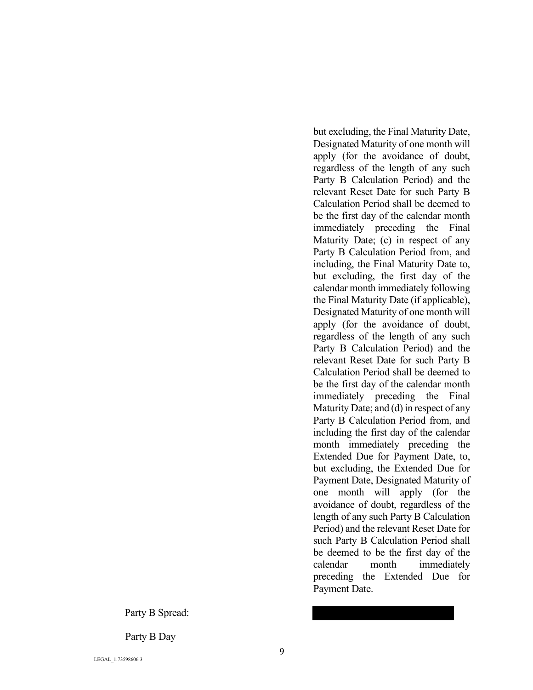Party B Spread:

Party B Day

Party B Calculation Period) and the relevant Reset Date for such Party B Calculation Period shall be deemed to be the first day of the calendar month immediately preceding the Final Maturity Date; (c) in respect of any Party B Calculation Period from, and including, the Final Maturity Date to, but excluding, the first day of the calendar month immediately following the Final Maturity Date (if applicable), Designated Maturity of one month will apply (for the avoidance of doubt, regardless of the length of any such Party B Calculation Period) and the relevant Reset Date for such Party B Calculation Period shall be deemed to be the first day of the calendar month immediately preceding the Final Maturity Date; and (d) in respect of any Party B Calculation Period from, and including the first day of the calendar month immediately preceding the Extended Due for Payment Date, to, but excluding, the Extended Due for Payment Date, Designated Maturity of one month will apply (for the avoidance of doubt, regardless of the length of any such Party B Calculation Period) and the relevant Reset Date for such Party B Calculation Period shall be deemed to be the first day of the calendar month immediately preceding the Extended Due for Payment Date.

but excluding, the Final Maturity Date, Designated Maturity of one month will apply (for the avoidance of doubt, regardless of the length of any such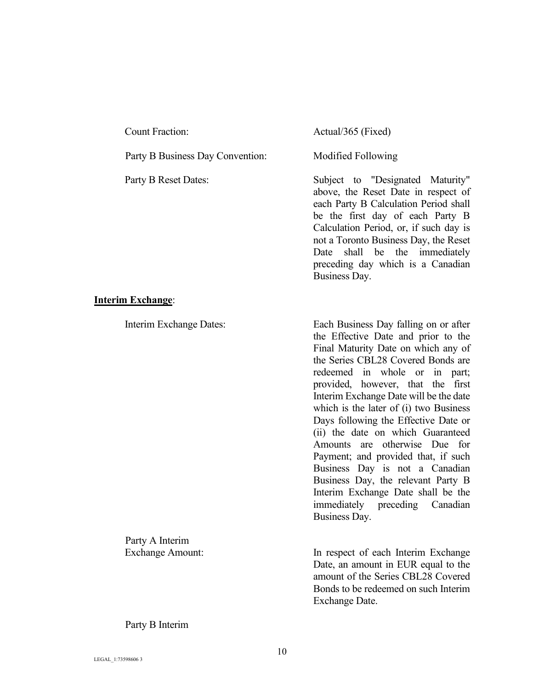| <b>Count Fraction:</b>           |
|----------------------------------|
| Party B Business Day Convention: |
| Party B Reset Dates:             |
|                                  |
|                                  |
|                                  |

#### **Interim Exchange**:

Party A Interim

Actual/365 (Fixed)

Modified Following

Subject to "Designated Maturity" above, the Reset Date in respect of each Party B Calculation Period shall be the first day of each Party B Calculation Period, or, if such day is not a Toronto Business Day, the Reset Date shall be the immediately preceding day which is a Canadian Business Day.

Interim Exchange Dates: Each Business Day falling on or after the Effective Date and prior to the Final Maturity Date on which any of the Series CBL28 Covered Bonds are redeemed in whole or in part; provided, however, that the first Interim Exchange Date will be the date which is the later of (i) two Business Days following the Effective Date or (ii) the date on which Guaranteed Amounts are otherwise Due for Payment; and provided that, if such Business Day is not a Canadian Business Day, the relevant Party B Interim Exchange Date shall be the immediately preceding Canadian Business Day.

Exchange Amount: In respect of each Interim Exchange Date, an amount in EUR equal to the amount of the Series CBL28 Covered Bonds to be redeemed on such Interim Exchange Date.

Party B Interim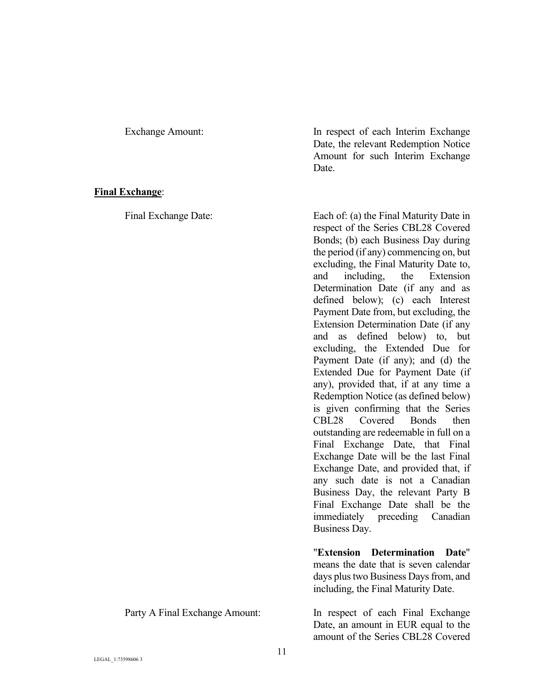#### **Final Exchange**:

Exchange Amount: In respect of each Interim Exchange Date, the relevant Redemption Notice Amount for such Interim Exchange Date.

Final Exchange Date: Each of: (a) the Final Maturity Date in respect of the Series CBL28 Covered Bonds; (b) each Business Day during the period (if any) commencing on, but excluding, the Final Maturity Date to, and including, the Extension Determination Date (if any and as defined below); (c) each Interest Payment Date from, but excluding, the Extension Determination Date (if any and as defined below) to, but excluding, the Extended Due for Payment Date (if any); and (d) the Extended Due for Payment Date (if any), provided that, if at any time a Redemption Notice (as defined below) is given confirming that the Series CBL28 Covered Bonds then outstanding are redeemable in full on a Final Exchange Date, that Final Exchange Date will be the last Final Exchange Date, and provided that, if any such date is not a Canadian Business Day, the relevant Party B Final Exchange Date shall be the immediately preceding Canadian Business Day.

> "**Extension Determination Date**" means the date that is seven calendar days plus two Business Days from, and including, the Final Maturity Date.

Party A Final Exchange Amount: In respect of each Final Exchange Date, an amount in EUR equal to the amount of the Series CBL28 Covered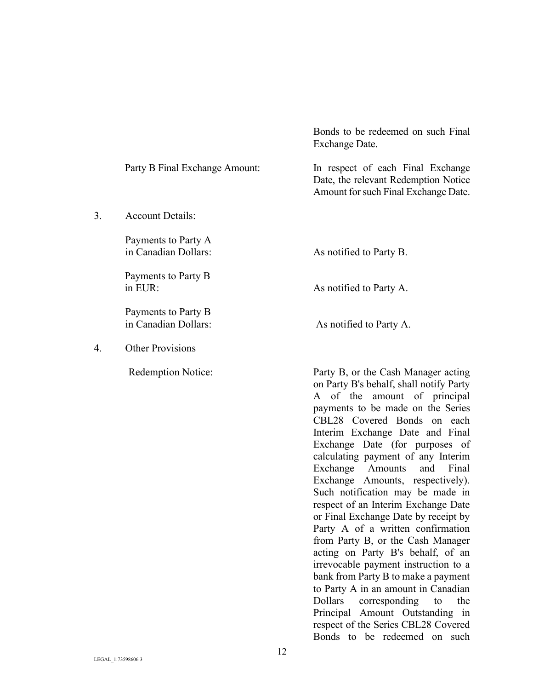|    |                                             | Exchange Date.                                                                                                                                                                                                                                                                                                                                                                                                                                                                                                                                                                                                                                     |
|----|---------------------------------------------|----------------------------------------------------------------------------------------------------------------------------------------------------------------------------------------------------------------------------------------------------------------------------------------------------------------------------------------------------------------------------------------------------------------------------------------------------------------------------------------------------------------------------------------------------------------------------------------------------------------------------------------------------|
|    | Party B Final Exchange Amount:              | In respect of each Final Exchange<br>Date, the relevant Redemption Notice<br>Amount for such Final Exchange Date.                                                                                                                                                                                                                                                                                                                                                                                                                                                                                                                                  |
| 3. | <b>Account Details:</b>                     |                                                                                                                                                                                                                                                                                                                                                                                                                                                                                                                                                                                                                                                    |
|    | Payments to Party A<br>in Canadian Dollars: | As notified to Party B.                                                                                                                                                                                                                                                                                                                                                                                                                                                                                                                                                                                                                            |
|    | Payments to Party B<br>in EUR:              | As notified to Party A.                                                                                                                                                                                                                                                                                                                                                                                                                                                                                                                                                                                                                            |
|    | Payments to Party B<br>in Canadian Dollars: | As notified to Party A.                                                                                                                                                                                                                                                                                                                                                                                                                                                                                                                                                                                                                            |
| 4. | <b>Other Provisions</b>                     |                                                                                                                                                                                                                                                                                                                                                                                                                                                                                                                                                                                                                                                    |
|    | <b>Redemption Notice:</b>                   | Party B, or the Cash Manager acting<br>on Party B's behalf, shall notify Party<br>A of the amount of principal<br>payments to be made on the Series<br>CBL28 Covered Bonds on each<br>Interim Exchange Date and Final<br>Exchange Date (for purposes of<br>calculating payment of any Interim<br>Exchange<br>Amounts<br>Final<br>and<br>Exchange Amounts, respectively).<br>Such notification may be made in<br>respect of an Interim Exchange Date<br>or Final Exchange Date by receipt by<br>Party A of a written confirmation<br>from Party B, or the Cash Manager<br>acting on Party B's behalf, of an<br>irrevocable payment instruction to a |

Bonds to be redeemed on such Final

bank from Party B to make a payment to Party A in an amount in Canadian<br>Dollars corresponding to the

Principal Amount Outstanding in respect of the Series CBL28 Covered Bonds to be redeemed on such

Dollars corresponding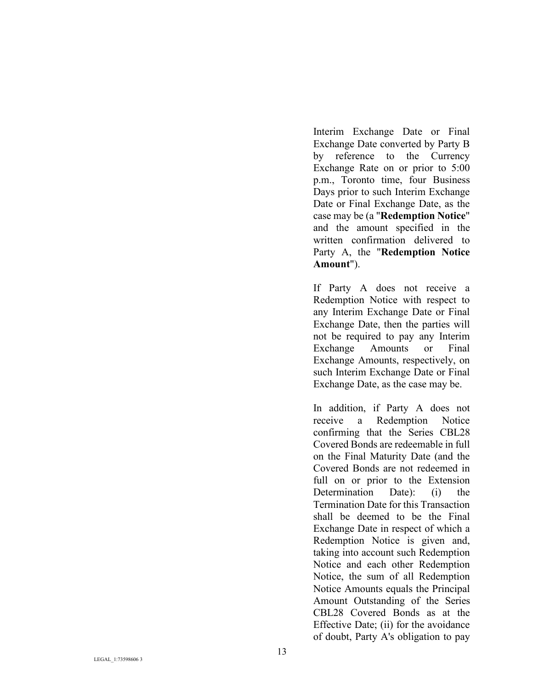Interim Exchange Date or Final Exchange Date converted by Party B by reference to the Currency Exchange Rate on or prior to 5:00 p.m., Toronto time, four Business Days prior to such Interim Exchange Date or Final Exchange Date, as the case may be (a "**Redemption Notice**" and the amount specified in the written confirmation delivered to Party A, the "**Redemption Notice Amount**").

If Party A does not receive a Redemption Notice with respect to any Interim Exchange Date or Final Exchange Date, then the parties will not be required to pay any Interim Exchange Amounts or Final Exchange Amounts, respectively, on such Interim Exchange Date or Final Exchange Date, as the case may be.

In addition, if Party A does not receive a Redemption Notice confirming that the Series CBL28 Covered Bonds are redeemable in full on the Final Maturity Date (and the Covered Bonds are not redeemed in full on or prior to the Extension Determination Date): (i) the Termination Date for this Transaction shall be deemed to be the Final Exchange Date in respect of which a Redemption Notice is given and, taking into account such Redemption Notice and each other Redemption Notice, the sum of all Redemption Notice Amounts equals the Principal Amount Outstanding of the Series CBL28 Covered Bonds as at the Effective Date; (ii) for the avoidance of doubt, Party A's obligation to pay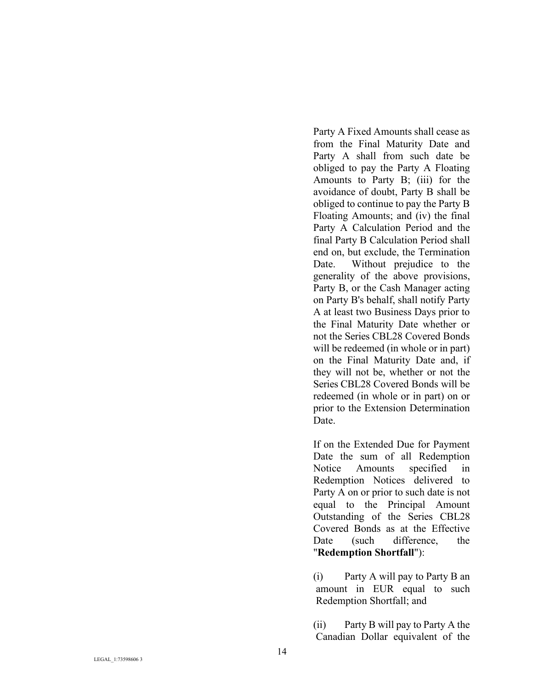Party A Fixed Amounts shall cease as from the Final Maturity Date and Party A shall from such date be obliged to pay the Party A Floating Amounts to Party B; (iii) for the avoidance of doubt, Party B shall be obliged to continue to pay the Party B Floating Amounts; and (iv) the final Party A Calculation Period and the final Party B Calculation Period shall end on, but exclude, the Termination Date. Without prejudice to the generality of the above provisions, Party B, or the Cash Manager acting on Party B's behalf, shall notify Party A at least two Business Days prior to the Final Maturity Date whether or not the Series CBL28 Covered Bonds will be redeemed (in whole or in part) on the Final Maturity Date and, if they will not be, whether or not the Series CBL28 Covered Bonds will be redeemed (in whole or in part) on or prior to the Extension Determination Date.

If on the Extended Due for Payment Date the sum of all Redemption Notice Amounts specified in Redemption Notices delivered to Party A on or prior to such date is not equal to the Principal Amount Outstanding of the Series CBL28 Covered Bonds as at the Effective Date (such difference, the "**Redemption Shortfall**"):

(i) Party A will pay to Party B an amount in EUR equal to such Redemption Shortfall; and

(ii) Party B will pay to Party A the Canadian Dollar equivalent of the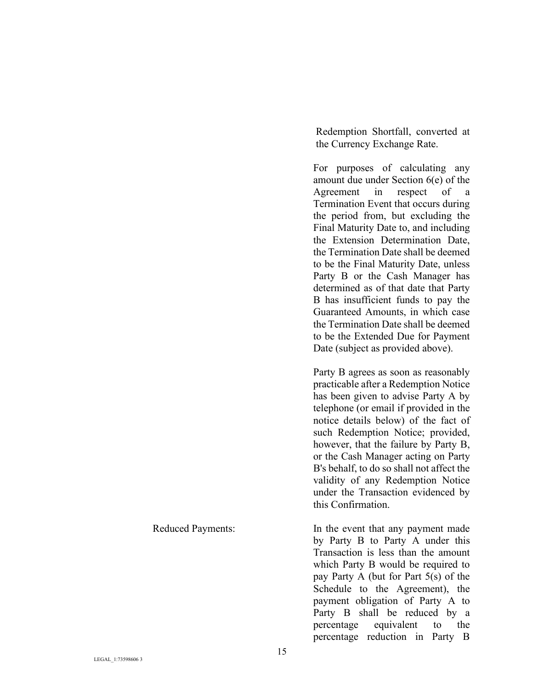Redemption Shortfall, converted at the Currency Exchange Rate.

For purposes of calculating any amount due under Section 6(e) of the Agreement in respect of a Termination Event that occurs during the period from, but excluding the Final Maturity Date to, and including the Extension Determination Date, the Termination Date shall be deemed to be the Final Maturity Date, unless Party B or the Cash Manager has determined as of that date that Party B has insufficient funds to pay the Guaranteed Amounts, in which case the Termination Date shall be deemed to be the Extended Due for Payment Date (subject as provided above).

Party B agrees as soon as reasonably practicable after a Redemption Notice has been given to advise Party A by telephone (or email if provided in the notice details below) of the fact of such Redemption Notice; provided, however, that the failure by Party B, or the Cash Manager acting on Party B's behalf, to do so shall not affect the validity of any Redemption Notice under the Transaction evidenced by this Confirmation.

Reduced Payments: In the event that any payment made by Party B to Party A under this Transaction is less than the amount which Party B would be required to pay Party A (but for Part 5(s) of the Schedule to the Agreement), the payment obligation of Party A to Party B shall be reduced by a percentage equivalent to the percentage reduction in Party B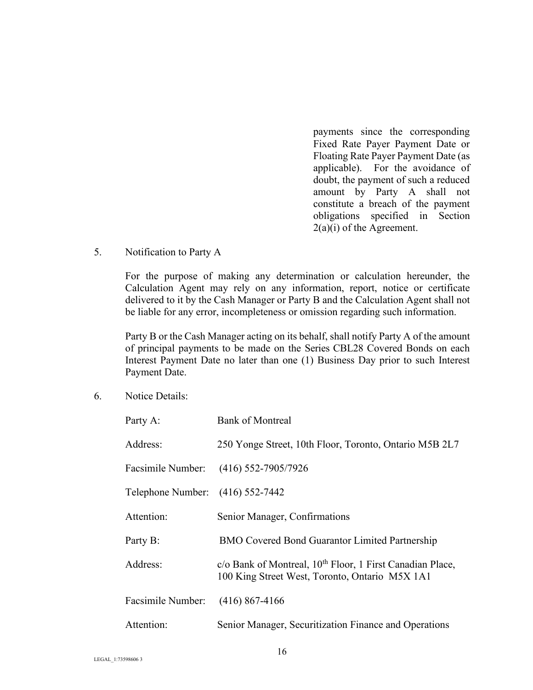payments since the corresponding Fixed Rate Payer Payment Date or Floating Rate Payer Payment Date (as applicable). For the avoidance of doubt, the payment of such a reduced amount by Party A shall not constitute a breach of the payment obligations specified in Section 2(a)(i) of the Agreement.

#### 5. Notification to Party A

For the purpose of making any determination or calculation hereunder, the Calculation Agent may rely on any information, report, notice or certificate delivered to it by the Cash Manager or Party B and the Calculation Agent shall not be liable for any error, incompleteness or omission regarding such information.

Party B or the Cash Manager acting on its behalf, shall notify Party A of the amount of principal payments to be made on the Series CBL28 Covered Bonds on each Interest Payment Date no later than one (1) Business Day prior to such Interest Payment Date.

6. Notice Details:

| Party A:                         | <b>Bank of Montreal</b>                                                                                                 |  |  |
|----------------------------------|-------------------------------------------------------------------------------------------------------------------------|--|--|
| Address:                         | 250 Yonge Street, 10th Floor, Toronto, Ontario M5B 2L7                                                                  |  |  |
|                                  | Facsimile Number: (416) 552-7905/7926                                                                                   |  |  |
| Telephone Number: (416) 552-7442 |                                                                                                                         |  |  |
| Attention:                       | Senior Manager, Confirmations                                                                                           |  |  |
| Party B:                         | <b>BMO Covered Bond Guarantor Limited Partnership</b>                                                                   |  |  |
| Address:                         | c/o Bank of Montreal, 10 <sup>th</sup> Floor, 1 First Canadian Place,<br>100 King Street West, Toronto, Ontario M5X 1A1 |  |  |
| Facsimile Number:                | $(416)$ 867-4166                                                                                                        |  |  |
| Attention:                       | Senior Manager, Securitization Finance and Operations                                                                   |  |  |